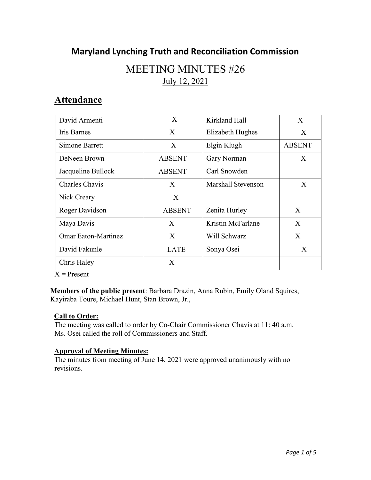# **Maryland Lynching Truth and Reconciliation Commission**

# MEETING MINUTES #26 July 12, 2021

## **Attendance**

| David Armenti              | X             | Kirkland Hall      | $\mathbf{X}$  |
|----------------------------|---------------|--------------------|---------------|
| Iris Barnes                | X             | Elizabeth Hughes   | X             |
| Simone Barrett             | X             | Elgin Klugh        | <b>ABSENT</b> |
| DeNeen Brown               | <b>ABSENT</b> | Gary Norman        | X             |
| Jacqueline Bullock         | <b>ABSENT</b> | Carl Snowden       |               |
| Charles Chavis             | X             | Marshall Stevenson | X             |
| Nick Creary                | X             |                    |               |
| Roger Davidson             | <b>ABSENT</b> | Zenita Hurley      | X             |
| Maya Davis                 | X             | Kristin McFarlane  | X             |
| <b>Omar Eaton-Martinez</b> | X             | Will Schwarz       | X             |
| David Fakunle              | LATE          | Sonya Osei         | X             |
| Chris Haley                | X             |                    |               |

 $\overline{X}$  = Present

**Members of the public present**: Barbara Drazin, Anna Rubin, Emily Oland Squires, Kayiraba Toure, Michael Hunt, Stan Brown, Jr.,

#### **Call to Order:**

The meeting was called to order by Co-Chair Commissioner Chavis at 11: 40 a.m. Ms. Osei called the roll of Commissioners and Staff.

#### **Approval of Meeting Minutes:**

The minutes from meeting of June 14, 2021 were approved unanimously with no revisions.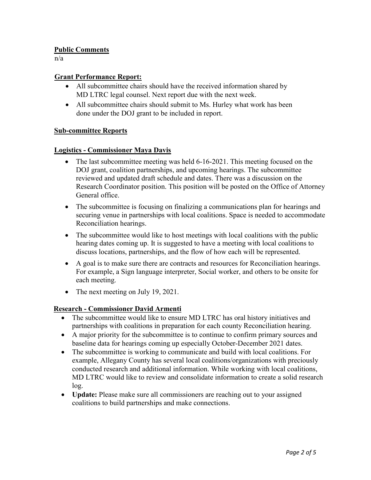#### **Public Comments**

n/a

### **Grant Performance Report:**

- All subcommittee chairs should have the received information shared by MD LTRC legal counsel. Next report due with the next week.
- All subcommittee chairs should submit to Ms. Hurley what work has been done under the DOJ grant to be included in report.

#### **Sub-committee Reports**

#### **Logistics - Commissioner Maya Davis**

- The last subcommittee meeting was held 6-16-2021. This meeting focused on the DOJ grant, coalition partnerships, and upcoming hearings. The subcommittee reviewed and updated draft schedule and dates. There was a discussion on the Research Coordinator position. This position will be posted on the Office of Attorney General office.
- The subcommittee is focusing on finalizing a communications plan for hearings and securing venue in partnerships with local coalitions. Space is needed to accommodate Reconciliation hearings.
- The subcommittee would like to host meetings with local coalitions with the public hearing dates coming up. It is suggested to have a meeting with local coalitions to discuss locations, partnerships, and the flow of how each will be represented.
- A goal is to make sure there are contracts and resources for Reconciliation hearings. For example, a Sign language interpreter, Social worker, and others to be onsite for each meeting.
- The next meeting on July 19, 2021.

## **Research - Commissioner David Armenti**

- The subcommittee would like to ensure MD LTRC has oral history initiatives and partnerships with coalitions in preparation for each county Reconciliation hearing.
- A major priority for the subcommittee is to continue to confirm primary sources and baseline data for hearings coming up especially October-December 2021 dates.
- The subcommittee is working to communicate and build with local coalitions. For example, Allegany County has several local coalitions/organizations with preciously conducted research and additional information. While working with local coalitions, MD LTRC would like to review and consolidate information to create a solid research log.
- **Update:** Please make sure all commissioners are reaching out to your assigned coalitions to build partnerships and make connections.